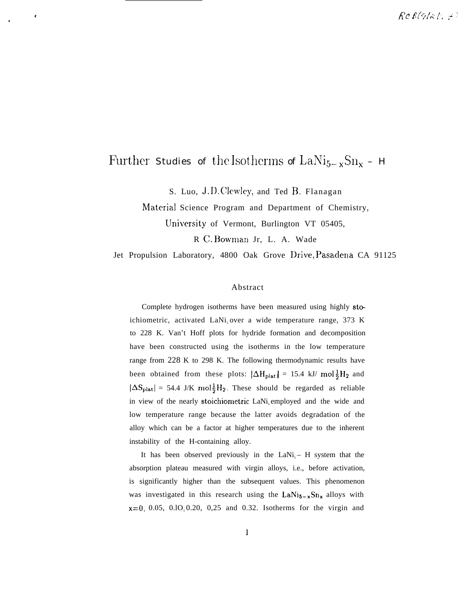# Further Studies of the Isotherms of  $\text{LaNi}_{5-x}\text{Sn}_{x}$  – H

S. Luo, J.D. Clewley, and Ted B. Flanagan

Material Science Program and Department of Chemistry, University of Vermont, Burlington VT 05405,

R C. Bowman Jr, L. A. Wade

Jet Propulsion Laboratory, 4800 Oak Grove Drive, Pasadena CA 91125

#### Abstract

Complete hydrogen isotherms have been measured using highly stoichiometric, activated LaNi<sub>s</sub>over a wide temperature range, 373 K to 228 K. Van't Hoff plots for hydride formation and decomposition have been constructed using the isotherms in the low temperature range from 228 K to 298 K. The following thermodynamic results have been obtained from these plots:  $|\Delta H_{\text{plat}}| = 15.4 \text{ kJ/mol } \frac{1}{2}H_2$  and  $|\Delta S_{\text{plat}}| = 54.4 \text{ J/K} \text{ mol} \frac{1}{2}H_2$ . These should be regarded as reliable in view of the nearly stoichiometric LaNi<sub>s</sub> employed and the wide and low temperature range because the latter avoids degradation of the alloy which can be a factor at higher temperatures due to the inherent instability of the H-containing alloy.

It has been observed previously in the  $LaNi<sub>s</sub> - H$  system that the absorption plateau measured with virgin alloys, i.e., before activation, is significantly higher than the subsequent values. This phenomenon was investigated in this research using the  $LaNi_{5-x}Sn_{x}$  alloys with  $x=0$ , 0.05, 0.10, 0.20, 0,25 and 0.32. Isotherms for the virgin and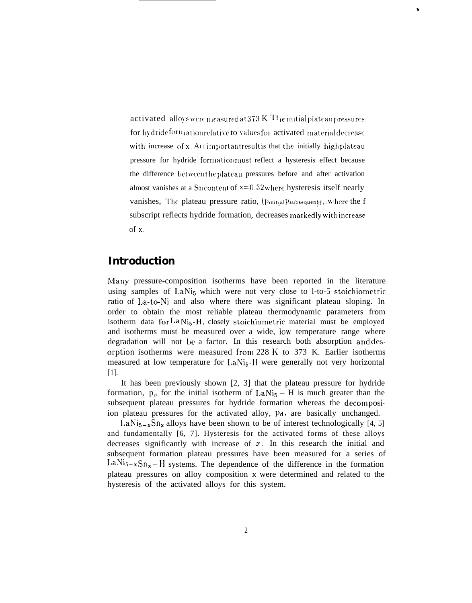activated alloys were measured at  $373 \text{ K}$  T<sub>1</sub>e initial plateau pressures for hydrideformation relative to values for activated material decrease with increase of x. AIT important result is that the initially highplateau pressure for hydride formation must reflect a hysteresis effect because the difference between the plateau pressures before and after activation almost vanishes at a Sn content of  $x=0.32$  where hysteresis itself nearly vanishes, The plateau pressure ratio,  $(p_{initial} p_{subsequent}, w_{here}$  the f subscript reflects hydride formation, decreases markedly with increase of x.

 $\mathbf{r}$ 

# **Introduction**

Many pressure-composition isotherms have been reported in the literature using samples of LaNi<sub>5</sub> which were not very close to 1-to-5 stoichiometric ratio of La-to-Ni and also where there was significant plateau sloping. In order to obtain the most reliable plateau thermodynamic parameters from isotherm data for  $LaNi<sub>5</sub> - H$ , closely stoichiometric material must be employed and isotherms must be measured over a wide, low temperature range where degradation will not be a factor. In this research both absorption and desorption isotherms were measured from 228 K to 373 K. Earlier isotherms measured at low temperature for LaNi<sub>5</sub>-H were generally not very horizontal  $[1]$ .

It has been previously shown  $[2, 3]$  that the plateau pressure for hydride formation,  $p_{\alpha}$ , for the initial isotherm of LaNi<sub>5</sub> – H is much greater than the subsequent plateau pressures for hydride formation whereas the decomposiion plateau pressures for the activated alloy, Pd, are basically unchanged.

 $\text{LaNi}_{5-x}\text{Sn}_{x}$  alloys have been shown to be of interest technologically [4, 5] and fundamentally [6, 7]. Hysteresis for the activated forms of these alloys decreases significantly with increase of  $x$ . In this research the initial and subsequent formation plateau pressures have been measured for a series of  $\text{LaNi}_{5-x} \text{Sn}_{x} - \text{H}$  systems. The dependence of the difference in the formation plateau pressures on alloy composition x were determined and related to the hysteresis of the activated alloys for this system.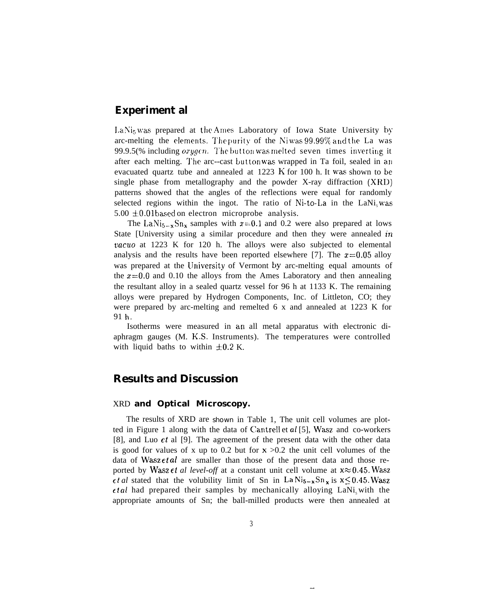# **Experiment al**

 $\text{LaNi}_5 \text{ was prepared}$  at the Ames Laboratory of Iowa State University by arc-melting the elements. The purity of the Ni was 99.99% and the La was 99.9.5(% including *orygen*. The button was melted seven times inverting it after each melting. The arc--cast button was wrapped in Ta foil, sealed in an evacuated quartz tube and annealed at 1223 K for 100 h. It was shown to be single phase from metallography and the powder X-ray diffraction (XRD) patterns showed that the angles of the reflections were equal for randomly selected regions within the ingot. The ratio of Ni-to-La in the LaNi<sub>s</sub> was  $5.00 \pm 0.01$  based on electron microprobe analysis.

The LaNi<sub>5-x</sub>Sn<sub>x</sub> samples with  $x=0.1$  and 0.2 were also prepared at lows State [University using a similar procedure and then they were annealed  $in$ *oacuo* at 1223 K for 120 h. The alloys were also subjected to elemental analysis and the results have been reported elsewhere [7]. The  $x=0.05$  alloy was prepared at the University of Vermont by arc-melting equal amounts of the  $x=0.0$  and 0.10 the alloys from the Ames Laboratory and then annealing the resultant alloy in a sealed quartz vessel for 96 h at 1133 K. The remaining alloys were prepared by Hydrogen Components, Inc. of Littleton, CO; they were prepared by arc-melting and remelted 6 x and annealed at 1223 K for 91 h.

Isotherms were measured in an all metal apparatus with electronic diaphragm gauges (M. K.S. Instruments). The temperatures were controlled with liquid baths to within  $\pm 0.2$  K.

## **Results and Discussion**

#### XRD **and Optical Microscopy.**

The results of XRD are shown in Table 1, The unit cell volumes are plotted in Figure 1 along with the data of Cantrell et al [5], Wasz and co-workers [8], and Luo  $et$  al [9]. The agreement of the present data with the other data is good for values of x up to 0.2 but for  $x > 0.2$  the unit cell volumes of the data of Wasz et *al* are smaller than those of the present data and those reported by Wasz *et al level-off* at a constant unit cell volume at  $x \approx 0.45$ . Wasz  $\epsilon t$  al stated that the volubility limit of Sn in La Ni<sub>5-x</sub>Sn<sub>x</sub> is  $x \le 0.45$ . Wasz  $et al$  had prepared their samples by mechanically alloying LaNi, with the appropriate amounts of Sn; the ball-milled products were then annealed at

.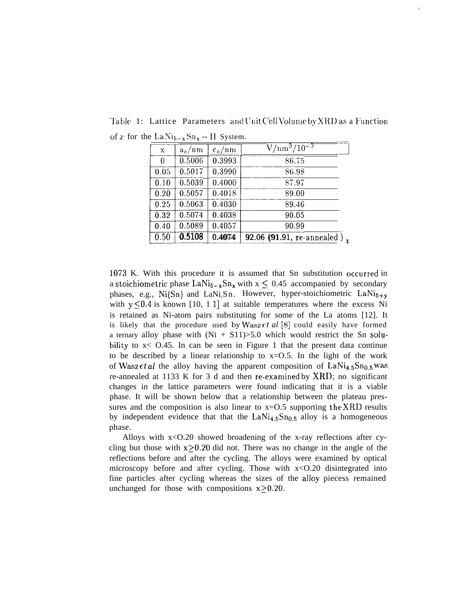| x    | $a_{\circ}/nm$ | $c_o/nm$ | $\sqrt{10^{-3}/10^{-3}}$    |
|------|----------------|----------|-----------------------------|
| 0    | 0.5006         | 0.3993   | 86.75                       |
| 0.05 | 0.5017         | 0.3990   | 86.98                       |
| 0.10 | 0.5039         | 0.4000   | 87.97                       |
| 0.20 | 0.5057         | 0.4018   | 89.00                       |
| 0.25 | 0.5063         | 0.4030   | 89.46                       |
| 0.32 | 0.5074         | 0.4038   | 90.05                       |
| 0.40 | 0.5089         | 0.4057   | 90.99                       |
| 0.50 | 0.5108         | 0.4074   | 92.06 (91.91, re-annealed), |

Table 1: Lattice Parameters and Unit Cell Volume by XRD as a Function of x for the La Nis<sub>-x</sub> Sn<sub>x</sub> -- H System.

b

1073 K. With this procedure it is assumed that Sn substitution occurred in a stoichiometric phase LaNi<sub>5-x</sub>Sn<sub>x</sub> with  $x \le 0.45$  accompanied by secondary phases, e.g., Ni(Sn) and LaNi<sub>5</sub>Sn. However, hyper-stoichiometric LaNi<sub>5+y</sub> with  $y \le 0.4$  is known [10, 1 1] at suitable temperatures where the excess Ni is retained as Ni-atom pairs substituting for some of the La atoms [12]. It is likely that the procedure used by Wasz  $et$  al  $[8]$  could easily have formed a ternary alloy phase with  $(Ni + S11) > 5.0$  which would restrict the Sn solubility to  $x < 0.45$ . In can be seen in Figure 1 that the present data continue to be described by a linear relationship to  $x=0.5$ . In the light of the work of Wasz et al the alloy having the apparent composition of  $\text{LaNi}_{4.5}\text{Sn}_{0.5}$  was re-annealed at 1133 K for 3 d and then re-exarnined by XRD; no significant changes in the lattice parameters were found indicating that it is a viable phase. It will be shown below that a relationship between the plateau pressures and the composition is also linear to  $x=0.5$  supporting the XRD results by independent evidence that that the  $LaNi<sub>4.5</sub>Sn<sub>0.5</sub>$  alloy is a homogeneous phase.

Alloys with  $x < 0.20$  showed broadening of the x-ray reflections after cycling but those with  $x > 0.20$  did not. There was no change in the angle of the reflections before and after the cycling. The alloys were examined by optical microscopy before and after cycling. Those with  $x < 0.20$  disintegrated into fine particles after cycling whereas the sizes of the alloy piecess remained unchanged for those with compositions  $x \ge 0.20$ .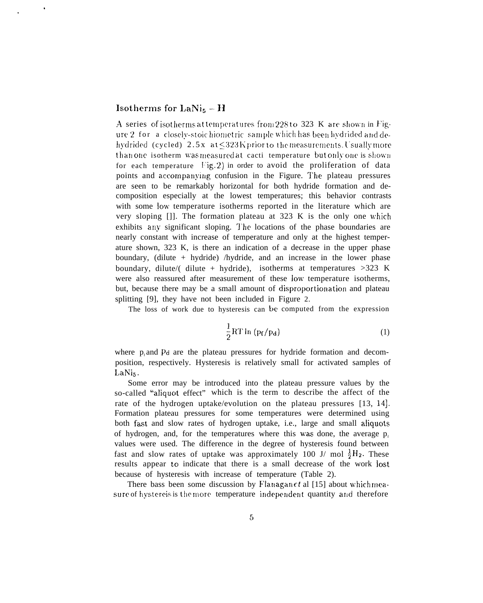## **Isothermsfor LaNi5– H**

A series of isotherms at temperatures from 228 to 323 K are shown in Figure 2 for a closely-stoic hiometric sample which has been hydrided and dehydrided (cycled)  $2.5x$  at  $\leq$  323 K prior to the measurements. Usually more than one isotherm was measured at cacti temperature but only one is shown for each temperature  $\text{Fig. 2}$ ) in order to avoid the proliferation of data points and accompanying confusion in the Figure. The plateau pressures are seen to be remarkably horizontal for both hydride formation and decomposition especially at the lowest temperatures; this behavior contrasts with some low temperature isotherms reported in the literature which are very sloping  $\lceil \cdot \rceil$ . The formation plateau at 323 K is the only one which exhibits any significant sloping. The locations of the phase boundaries are nearly constant with increase of temperature and only at the highest temperature shown, 323 K, is there an indication of a decrease in the upper phase boundary, (dilute + hydride) /hydride, and an increase in the lower phase boundary, dilute/( dilute + hydride), isotherms at temperatures  $>323$  K were also reassured after measurement of these low' temperature isotherms, but, because there may be a small amount of disproportionation and plateau splitting [9], they have not been included in Figure 2.

The loss of work due to hysteresis can be computed from the expression

$$
\frac{1}{2}RT\ln\left(p_f/p_d\right) \tag{1}
$$

where  $p_f$  and Pd are the plateau pressures for hydride formation and decomposition, respectively. Hysteresis is relatively small for activated samples of  $LaNi<sub>5</sub>$ .

Some error may be introduced into the plateau pressure values by the so-called "aliquot effect" which is the term to describe the affect of the rate of the hydrogen uptake/evolution on the plateau pressures [13, 14]. Formation plateau pressures for some temperatures were determined using both fasst and slow rates of hydrogen uptake, i.e., large and small aliquots of hydrogen, and, for the temperatures where this was done, the average  $p_e$ values were used. The difference in the degree of hysteresis found between fast and slow rates of uptake was approximately 100 J/ mol  $\frac{1}{2}H_2$ . These results appear to indicate that there is a small decrease of the work lost because of hysteresis with increase of temperature (Table 2).

There bass been some discussion by Flanagan  $\epsilon t$  al [15] about which measure of hystereis is the more temperature independent quantity and therefore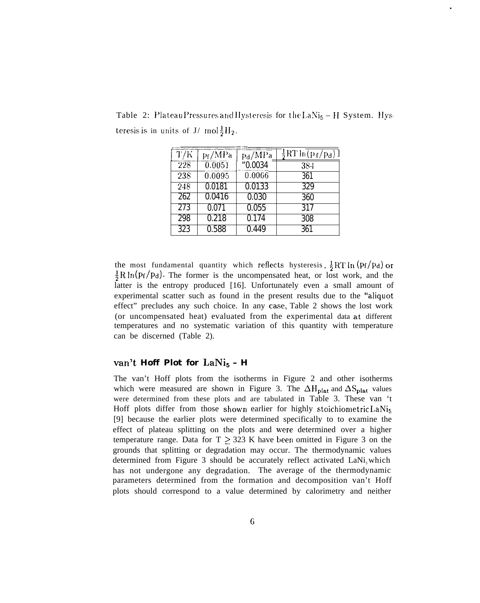| T/K | $p_f/MPa$ | $p_d/MPa$ | $-\frac{1}{2}RT\ln(p_f/p_d)$ ] |
|-----|-----------|-----------|--------------------------------|
| 228 | 0.0051    | "0.0034   | 384                            |
| 238 | 0.0095    | 0.0066    | 361                            |
| 248 | 0.0181    | 0.0133    | 329                            |

262 0.0416 0.030 360 0.071 0.055 317 0.218 0.174 308 0.588 0.449 361

Table 2: Plateau Pressures and Hysteresis for the  $LaNi<sub>5</sub> - H$  System. Hysteresis is in units of  $J/mol \frac{1}{2}H_2$ .

the most fundamental quantity which reflects hysteresis,  $\frac{1}{2}RT \ln (p_f/p_d)$  or  $\frac{1}{2}R\ln(p_f/p_d)$ . The former is the uncompensated heat, or lost work, and the latter is the entropy produced [16]. Unfortunately even a small amount of experimental scatter such as found in the present results due to the "aliquot effect" precludes any such choice. In any case, Table 2 shows the lost work (or uncompensated heat) evaluated from the experimental data at different temperatures and no systematic variation of this quantity with temperature can be discerned (Table 2).

### van't **Hoff Plot for** LaNi<sub>5</sub> - **H**

The van't Hoff plots from the isotherms in Figure 2 and other isotherms which were measured are shown in Figure 3. The  $\Delta H_{\text{plat}}$  and  $\Delta S_{\text{plat}}$  values were determined from these plots and are tabulated in Table 3. These van 't Hoff plots differ from those shown earlier for highly stoichiometric LaNi<sub>5</sub> [9] because the earlier plots were determined specifically to to examine the effect of plateau splitting on the plots and were determined over a higher temperature range. Data for  $T > 323$  K have been omitted in Figure 3 on the grounds that splitting or degradation may occur. The thermodynamic values determined from Figure 3 should be accurately reflect activated  $\text{LANi}_{5}$  which has not undergone any degradation. The average of the thermodynamic parameters determined from the formation and decomposition van't Hoff plots should correspond to a value determined by calorimetry and neither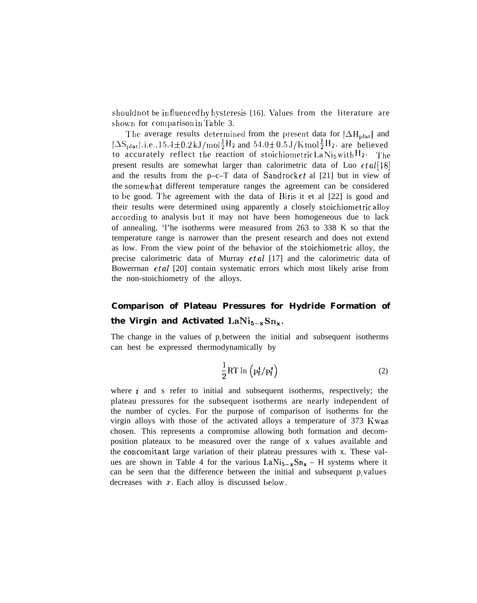should not be in fluenced by hysteresis [16]. Values from the literature are shown for comparison in Table 3.

The average results determined from the present data for  $|\Delta H_{\text{plat}}|$  and  $[\Delta S_{\text{plat}}|, i.e., 15.4 \pm 0.2 \text{ kJ/mol} \frac{1}{2}H_2$  and  $54.0 \pm 0.5 \text{ J/K} \text{mol} \frac{1}{2}H_2$ , are believed to accurately reflect the reaction of stoichiometric  $\text{La Ni}_5$  with  $\text{H}_2$ . The present results are somewhat larger than calorimetric data of Luo  $et al [18]$ and the results from the p–c–T data of Sandrock  $\epsilon t$  al [21] but in view of the somewhat different temperature ranges the agreement can be considered to be good. The agreement with the data of Biris it et al [22] is good and their results were determined using apparently a closely stoichiornetric alloy according to analysis but it may not have been homogeneous due to lack of annealing. 'l'he isotherms were measured from 263 to 338 K so that the temperature range is narrower than the present research and does not extend as low. From the view point of the behavior of the stoichiometric alloy, the precise calorimetric data of Murray et *al* [17] and the calorimetric data of Bowerrnan *et al* [20] contain systematic errors which most likely arise from the non-stoichiometry of the alloys.

# **Comparison of Plateau Pressures for Hydride Formation of** the Virgin and Activated  $\text{LaNi}_{5-x}\text{Sn}_{x}$ .

The change in the values of  $p<sub>i</sub>$  between the initial and subsequent isotherms can best be expressed thermodynamically by

$$
\frac{1}{2}RT \ln \left( p_f^i / p_f^s \right) \tag{2}
$$

where  $i$  and s refer to initial and subsequent isotherms, respectively; the plateau pressures for the subsequent isotherms are nearly independent of the number of cycles. For the purpose of comparison of isotherms for the virgin alloys with those of the activated alloys a temperature of 373 K was chosen. This represents a compromise allowing both formation and decomposition plateaux to be measured over the range of x values available and the concomitant large variation of their plateau pressures with x. These values are shown in Table 4 for the various  $\text{LaNi}_{5-x}\text{Sn}_{x} - \text{H}$  systems where it can be seen that the difference between the initial and subsequent  $p<sub>r</sub>$  values decreases with  $x$ . Each alloy is discussed below.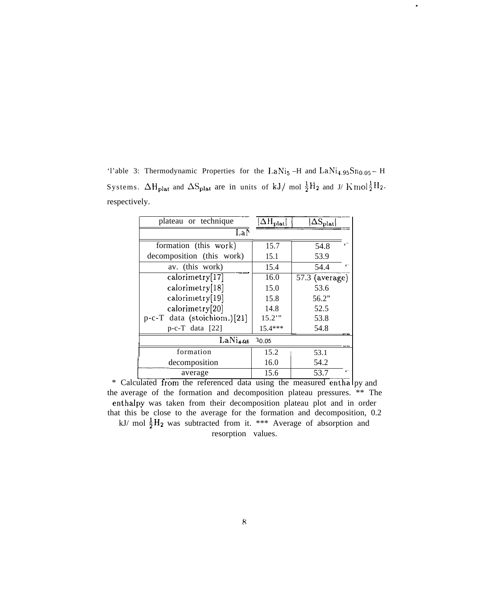'l'able 3: Thermodynamic Properties for the LaNi<sub>5</sub> –H and LaNi<sub>4.95</sub>Sn<sub>0.05</sub> – H Systems.  $\Delta H_{\text{plat}}$  and  $\Delta S_{\text{plat}}$  are in units of kJ/ mol  $\frac{1}{2}H_2$  and J/ K mol  $\frac{1}{2}H_2$ , respectively.

.

| plateau or technique                         | $\Delta H_{\rm plat}$ | $\Delta S_{\rm plat}$ |  |  |  |
|----------------------------------------------|-----------------------|-----------------------|--|--|--|
| LaN                                          |                       |                       |  |  |  |
| formation (this work)                        | 15.7                  | $\epsilon =$<br>54.8  |  |  |  |
| decomposition (this work)                    | 15.1                  | 53.9                  |  |  |  |
| av. (this work)                              | 15.4                  | 54.4                  |  |  |  |
| calorimetry[17]                              | 16.0                  | $57.3$ (average)      |  |  |  |
| calorimetry[18]                              | 15.0                  | 53.6                  |  |  |  |
| calorimetry[19]                              | 15.8                  | 56.2"                 |  |  |  |
| calorimetry[20]                              | 14.8                  | 52.5                  |  |  |  |
| $p-c-T$ data (stoichiom.)[21]                | $15.2$ "              | 53.8                  |  |  |  |
| $p-c-T$ data [22]                            | $15.4***$             | 54.8                  |  |  |  |
| $\overline{\text{LaNi}}_{4.95}$<br>10.05     |                       |                       |  |  |  |
| formation                                    | 15.2                  | 53.1                  |  |  |  |
| decomposition                                | 16.0                  | 54.2                  |  |  |  |
| average                                      | 15.6                  | $\epsilon$ -<br>53.7  |  |  |  |
| from the referenced data using the<br>hetelu |                       | measured onthe        |  |  |  |

\* Calculated from the referenced data using the measured enthalpy and the average of the formation and decomposition plateau pressures. \*\* The enthalpy was taken from their decomposition plateau plot and in order that this be close to the average for the formation and decomposition, 0.2 kJ/ mol  $\frac{1}{2}H_2$  was subtracted from it. \*\*\* Average of absorption and

resorption values.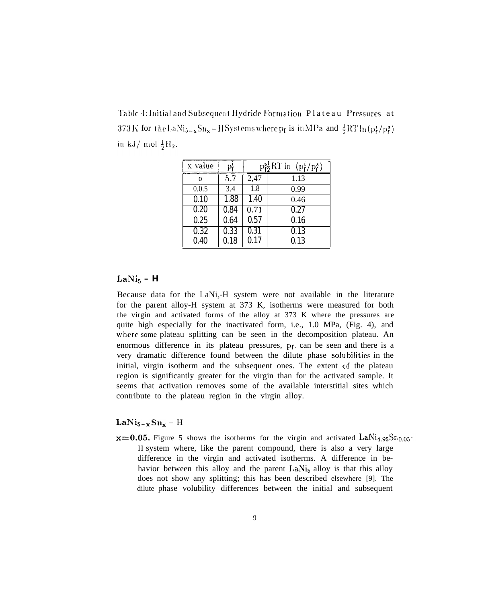Table 4: Initial and Subsequent Hydride Formation Plateau Pressures at 373 K for the LaN<sub>i5</sub><sub>x</sub>Sn<sub>x</sub>-H Systems where p<sub>f</sub> is in MPa and  $\frac{1}{2}RT \ln (p_f^t / p_f^s)$ in kJ/ mol  $\frac{1}{2}H_2$ .

| x value  | Pŕ   |          | $\frac{1}{6}RT \ln$<br>$(p_i^s/p_f^s)$ |
|----------|------|----------|----------------------------------------|
| $\Omega$ | 5.7  | 2,47     | 1.13                                   |
| 0.0.5    | 3.4  | 1.8      | 0.99                                   |
| 0.10     | 1.88 | 1.40     | 0.46                                   |
| 0.20     | 0.84 | 0.71     | 0.27                                   |
| 0.25     | 0.64 | 0.57     | 0.16                                   |
| 0.32     | 0.33 | 0.31     | 0.13                                   |
| 0.40     | 0.18 | $0.17\,$ | 0.13                                   |

# $LaNi<sub>5</sub> - H$

Because data for the  $\text{LaNi}_5\text{-H}$  system were not available in the literature for the parent alloy-H system at 373 K, isotherms were measured for both the virgin and activated forms of the alloy at 373 K where the pressures are quite high especially for the inactivated form, i.e., 1.0 MPa, (Fig. 4), and where some plateau splitting can be seen in the decomposition plateau. An enormous difference in its plateau pressures, pr, can be seen and there is a very dramatic difference found between the dilute phase solubilities in the initial, virgin isotherm and the subsequent ones. The extent of the plateau region is significantly greater for the virgin than for the activated sample. It seems that activation removes some of the available interstitial sites which contribute to the plateau region in the virgin alloy.

## $LaNi_{5-x}Sn_x - H$

 $x=0.05$ . Figure 5 shows the isotherms for the virgin and activated LaNi<sub>4,95</sub>Sn<sub>0,05</sub>– H system where, like the parent compound, there is also a very large difference in the virgin and activated isotherms. A difference in behavior between this alloy and the parent LaNi<sub>5</sub> alloy is that this alloy does not show any splitting; this has been described elsewhere [9]. The dilute phase volubility differences between the initial and subsequent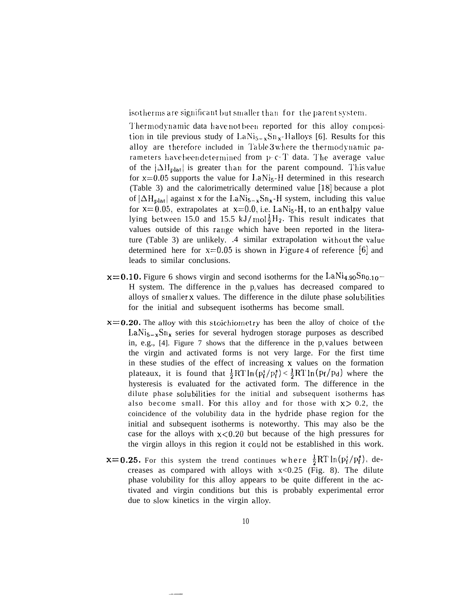isotherms are significant but smaller than for the parent system.

Thermodynamic data have not been reported for this alloy composition in tile previous study of  $LaNi_{5-x}Sn_{x}-H$  alloys [6]. Results for this alloy are therefore included in Table 3 where the thermodynamic parameters have been determined from p-c-T data. The average value of the  $|\Delta H_{\text{plat}}|$  is greater than for the parent compound. This value for  $x=0.05$  supports the value for LaNi<sub>5</sub>-H determined in this research (Table 3) and the calorimetrically determined value  $[18]$  because a plot of  $|\Delta H_{\text{plat}}|$  against x for the LaNi<sub>5-x</sub>Sn<sub>x</sub>-H system, including this value for  $x=0.05$ , extrapolates at  $x=0.0$ , i.e. LaNi<sub>5</sub>-H, to an enthalpy value lying between 15.0 and 15.5 kJ/mol $\frac{1}{2}H_2$ . This result indicates that values outside of this range which have been reported in the literature (Table 3) are unlikely. .4 similar extrapolation without the value determined here for  $x=0.05$  is shown in Figure 4 of reference [6] and leads to similar conclusions.

- $x=0.10$ . Figure 6 shows virgin and second isotherms for the LaNi<sub>4.90</sub>Sn<sub>0.10</sub>-H system. The difference in the p values has decreased compared to alloys of smaller x values. The difference in the dilute phase solubilities for the initial and subsequent isotherms has become small.
- $x=0.20$ . The alloy with this stoichiometry has been the alloy of choice of the  $\text{LaNi}_{5-x}\text{Sn}_{x}$  series for several hydrogen storage purposes as described in, e.g., [4]. Figure 7 shows that the difference in the  $p_r$  values between the virgin and activated forms is not very large. For the first time in these studies of the effect of increasing  $x$  values on the formation plateaux, it is found that  $\frac{1}{2}RT \ln(p_f^3)/(\frac{1}{2}RT \ln(p_f/p_d))$  where the hysteresis is evaluated for the activated form. The difference in the dilute phase solubilities for the initial and subsequent isotherms has also become small. For this alloy and for those with  $x > 0.2$ , the coincidence of the volubility data in the hydride phase region for the initial and subsequent isotherms is noteworthy. This may also be the case for the alloys with  $x < 0.20$  but because of the high pressures for the virgin alloys in this region it could not be established in this work.
- **x=0.25.** For this system the trend continues where  $\frac{1}{2}RT \ln(p_f^t/p_f^s)$ , decreases as compared with alloys with  $x < 0.25$  (Fig. 8). The dilute phase volubility for this alloy appears to be quite different in the activated and virgin conditions but this is probably experimental error due to slow kinetics in the virgin alloy.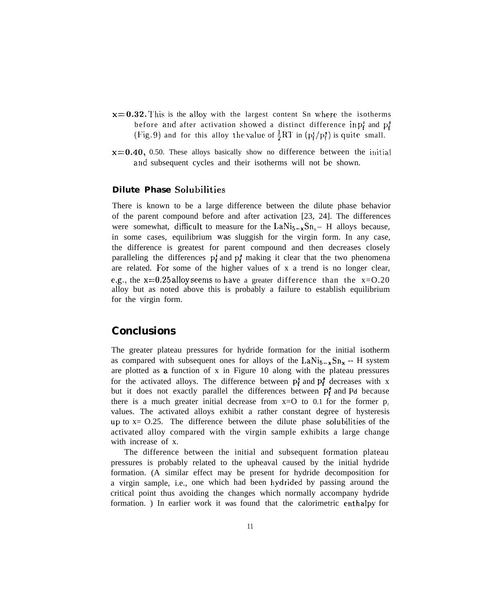- $x=0.32$ . This is the alloy with the largest content Sn where the isotherms before and after activation showed a distinct difference in  $p_i^i$  and  $p_i^s$ (Fig. 9) and for this alloy the value of  $\frac{1}{2}RT$  in  $(p_f^2/p_f^2)$  is quite small.
- $x=0.40$ , 0.50. These alloys basically show no difference between the initial and subsequent cycles and their isotherms will not be shown.

## **Dilute Phase Solubilities**

There is known to be a large difference between the dilute phase behavior of the parent compound before and after activation [23, 24]. The differences were somewhat, difficult to measure for the  $\text{LaNi}_{5-x}\text{Sn}_{x}$  – H alloys because, in some cases, equilibrium was sluggish for the virgin form. In any case, the difference is greatest for parent compound and then decreases closely paralleling the differences  $p_f^i$  and  $p_f^s$  making it clear that the two phenomena are related. For some of the higher values of  $x$  a trend is no longer clear, e.g., the  $x=0.25$  alloy seems to have a greater difference than the  $x=0.20$ alloy but as noted above this is probably a failure to establish equilibrium for the virgin form.

# **Conclusions**

The greater plateau pressures for hydride formation for the initial isotherm as compared with subsequent ones for alloys of the  $\text{LaNi}_{5-x}\text{Sn}_{x}$  -- H system are plotted as a function of x in Figure 10 along with the plateau pressures for the activated alloys. The difference between  $p_f^i$  and  $p_f^s$  decreases with x but it does not exactly parallel the differences between  $P_f^{\sharp}$  and Pd because there is a much greater initial decrease from  $x=O$  to 0.1 for the former  $p<sub>i</sub>$ values. The activated alloys exhibit a rather constant degree of hysteresis **Up** to x= O.25. The difference between the dilute phase solubilities of the activated alloy compared with the virgin sample exhibits a large change with increase of x.

The difference between the initial and subsequent formation plateau pressures is probably related to the upheaval caused by the initial hydride formation. (A similar effect may be present for hydride decomposition for a virgin sample, i.e., one which had been hydrided by passing around the critical point thus avoiding the changes which normally accompany hydride formation. ) In earlier work it was found that the calorimetric enthalpy for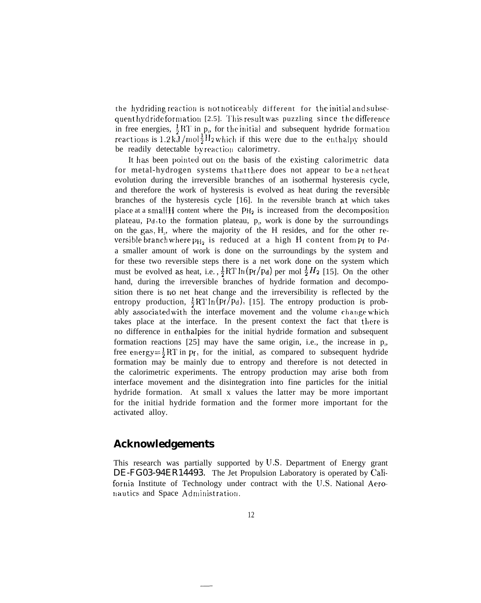the hydriding reaction is not noticeably different for the initial and subsequent hydride formation [2.5]. This result was puzzling since the difference in free energies,  $\frac{1}{2}RT$  in p<sub>p</sub>, for the initial and subsequent hydride formation reactions is  $1.2 \text{ kJ/mol} \frac{1}{2} H_2$  which if this were due to the enthalpy should be readily detectable by reaction calorimetry.

It has been pointed out on the basis of the existing calorimetric data for metal-hydrogen systems that there does not appear to be a netheat evolution during the irreversible branches of an isothermal hysteresis cycle, and therefore the work of hysteresis is evolved as heat during the reversible branches of the hysteresis cycle [16]. In the reversible branch at which takes place at a small H content where the  $PH_2$  is increased from the decomposition plateau,  $Pd$ , to the formation plateau,  $p<sub>e</sub>$ , work is done by the surroundings on the gas, H<sub>2</sub>, where the majority of the H resides, and for the other reversible branch where  $p_{H_2}$  is reduced at a high H content from  $p_f$  to  $p_d$ , a smaller amount of work is done on the surroundings by the system and for these two reversible steps there is a net work done on the system which must be evolved as heat, i.e.,  $\frac{1}{2}RT \ln (p_f/p_d)$  per mol  $\frac{1}{2}H_2$  [15]. On the other hand, during the irreversible branches of hydride formation and decomposition there is no net heat change and the irreversibility is reflected by the entropy production,  $\frac{1}{2}RT \ln (p_f/p_d)$ , [15]. The entropy production is probably associated with the interface movement and the volume change which takes place at the interface. In the present context the fact that there is no difference in enthalpies for the initial hydride formation and subsequent formation reactions [25] may have the same origin, i.e., the increase in  $p_e$ free energy= $\frac{1}{2}RT$  in  $p_f$ , for the initial, as compared to subsequent hydride formation may be mainly due to entropy and therefore is not detected in the calorimetric experiments. The entropy production may arise both from interface movement and the disintegration into fine particles for the initial hydride formation. At small x values the latter may be more important for the initial hydride formation and the former more important for the activated alloy.

# **Acknowledgements**

This research was partially supported by U.S. Department of Energy grant DE-FG03-94ER14493. The Jet Propulsion Laboratory is operated by California Institute of Technology under contract with the U.S. National Aeronautics and Space Administration.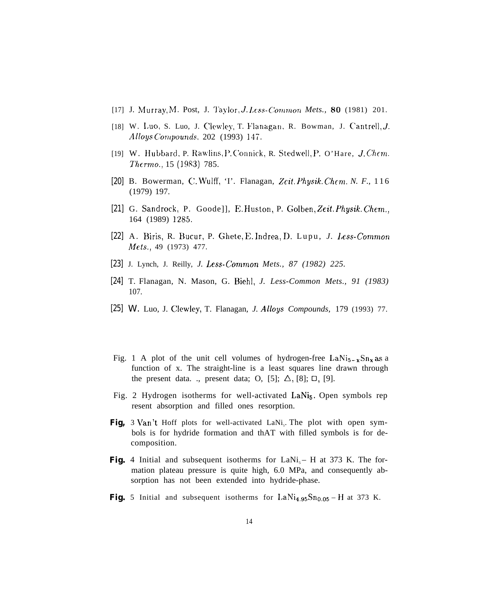- [17] J. Murray, M. Post, J. Taylor, *J. Less-Common Mets.*, **80** (1981) 201.
- [18] W. Luo, S. Luo, J. Clewley, T. Flanagan, R. Bowman, J. Cantrell, J. Alloys *Compounds*, 202 (1993) 147.
- [19] W. Hubbard, P. Rawlins, P. Connick, R. Stedwell, P. O'Hare, J. Chem *Thcrmo.,* 15 (1983) 785.
- [20] B. Bowerman, C. Wulff, 'I'. Flanagan, Zeit. Physik. Chem. N. F., 116 (1979) 197.
- [21] G. Sandrock, P. Goode]], E. Huston, P. Golben, Zeit. Physik. Chem., 164 (1989) 1285.
- [22] A. Biris, R. Bucur, P. Ghete, E. Indrea, D. Lupu, *J. Less-Commo Mets.,* 49 (1973) 477.
- [23] J. Lynch, J. Reilly, *J. Less-Contmon Mets., 87 (1982) 225.*
- [24] T. Flanagan, N. Mason, G. Biehl, *J. Less-Common Mets., 91 (1983)* 107.
- [25] W. Luo, J. Clewley, T. Flanagan, *J. Alloys Compounds,* 179 (1993) 77.
- Fig. 1 A plot of the unit cell volumes of hydrogen-free  $\text{LaNi}_{5-x}\text{Sn}_{x}$  as a function of x. The straight-line is a least squares line drawn through the present data. ., present data; O, [5];  $\Delta$ , [8];  $\Box$ , [9].
- Fig. 2 Hydrogen isotherms for well-activated  $\text{LaNi}_5$ . Open symbols rep resent absorption and filled ones resorption.
- Fig, 3 Van't Hoff plots for well-activated LaNi<sub>s</sub>. The plot with open symbols is for hydride formation and thAT with filled symbols is for decomposition.
- **Fig.** 4 Initial and subsequent isotherms for  $\text{LANi}_{5} H$  at 373 K. The formation plateau pressure is quite high, 6.0 MPa, and consequently absorption has not been extended into hydride-phase.
- **Fig.** 5 Initial and subsequent isotherms for LaNi<sub>4.95</sub>Sn<sub>0.05</sub> H at 373 K.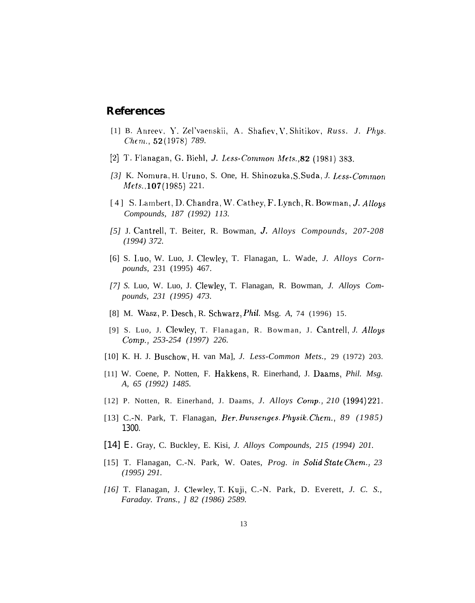# **References**

- [1] B. Anreev, Y. Zel'vaenskii, A. Shafiev, V. Shitikov, *Russ. J. Phys. Chem.*, **52** (1978) 789.
- [2] T. Flanagan, G. Biehl, J. Less-Common Mets., 82 (1981) 383.
- *[3]* K. Nomura, H. [Jruno, S. One, H. Shinozuka, S. S"da, *J. l,e~~.contmon*  $Mets.$ , 107 (1985) 221.
- [4] S. Lambert, D. Chandra, W. Cathey, F. Lynch, R. Bowman, J. Alloys *Compounds, 187 (1992) 113.*
- *[5]* J. Cantrell, T. Beiter, R. Bowman, *J, Alloys Compounds, 207-208 (1994) 372.*
- [6] S. I,uo, W. Luo, J. CIew]ey, T. Flanagan, L. Wade, *J. Alloys Cornpounds,* 231 (1995) 467.
- *[7] S.* Luo, W. Luo, J. Clewley, T. Flanagan, R. Bowman, *J. Alloys Compounds, 231 (1995) 473.*
- [8] M. Wasz, P. Desch, R. Schwarz, Phil. Msg. *A,* 74 (1996) 15.
- [9] S. Luo, J. Clewley, T. Flanagan, R. Bowman, J. Cantrell, *J. A//oys Comp., 253-254 (1997) 226.*
- [10] K. H. J. Buschow, H. van Ma], *J. Less-Common Mets.,* 29 (1972) 203.
- [11] W. Coene, P. Notten, F. Hakkens, R. Einerhand, J. Daams, *Phil. Msg. A, 65 (1992) 1485.*
- [12] P. Notten, R. Einerhand, J. Daams, *J. Alloys Comp., 210 (1994) 221.*
- [13] C.-N. Park, T. Flanagan, *Ber. Bunsenges. Physik. Chcm., 89 (1985)* 1300.
- [14] E. Gray, C. Buckley, E. Kisi, *J. Alloys Compounds, 215 (1994) 201.*
- [15] T. Flanagan, C.-N. Park, W. Oates, *Prog. in Solid Slate Chem., 23 (1995) 291.*
- *[16]* T. Flanagan, J. Clewley, T. Kuji, C.-N. Park, D. Everett, *J. C. S., Faraday. Trans., ] 82 (1986) 2589.*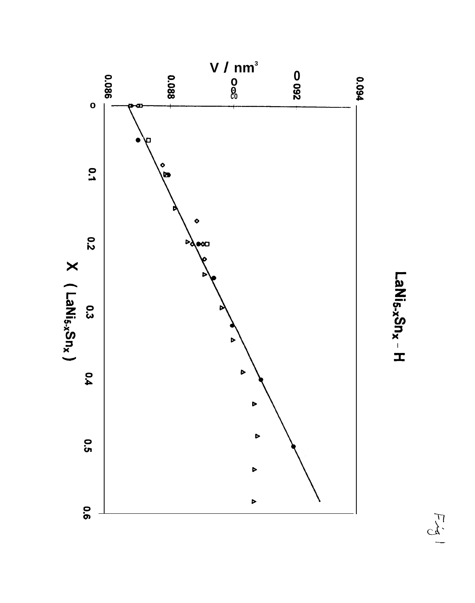

LaNi<sub>5-x</sub>Sn<sub>x</sub> - H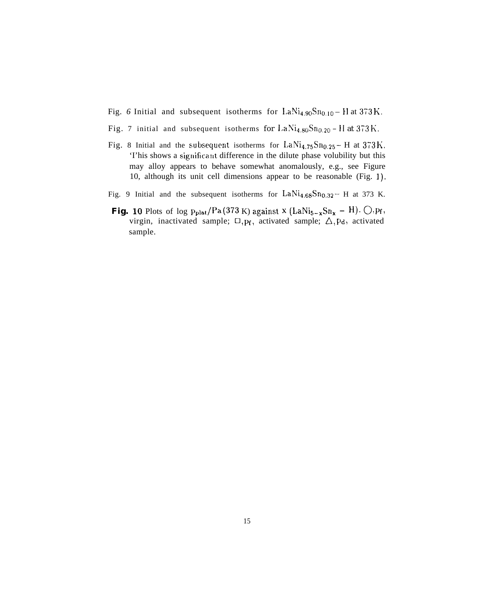- Fig. 6 Initial and subsequent isotherms for  $\text{LaNi}_{4.90}\text{Sn}_{0.10} \text{H}$  at 373 K.
- Fig. 7 initial and subsequent isotherms for  $LaNi_{4.80}Sn_{0.20} H$  at  $373K$ .
- Fig. 8 Initial and the subsequent isotherms for  $\text{LaNi}_{4.75}\text{Sn}_{0.25}$  H at  $373\,\text{K}$ . 'I'his shows a significant difference in the dilute phase volubility but this may alloy appears to behave somewhat anomalously, e.g., see Figure 10, although its unit cell dimensions appear to be reasonable (Fig. 1).
- Fig. 9 Initial and the subsequent isotherms for  $\text{LaNi}_{4.68}\text{Sn}_{0.32}$  H at 373 K.
- **Fig. 10** Plots of log  $p_{\text{plat}}/Pa$  (373 K) against x (LaNi<sub>5-x</sub>Sn<sub>x</sub> H).  $\bigcirc$ ,  $p_f$ , virgin, inactivated sample;  $\Box$ , p<sub>f</sub>, activated sample;  $\triangle$ , pd, activated sample.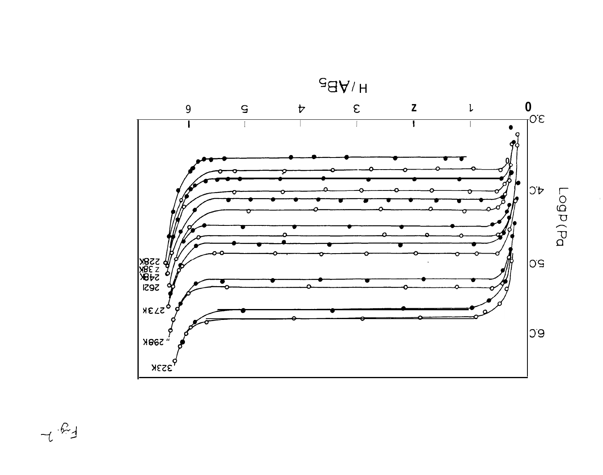

 $7.64$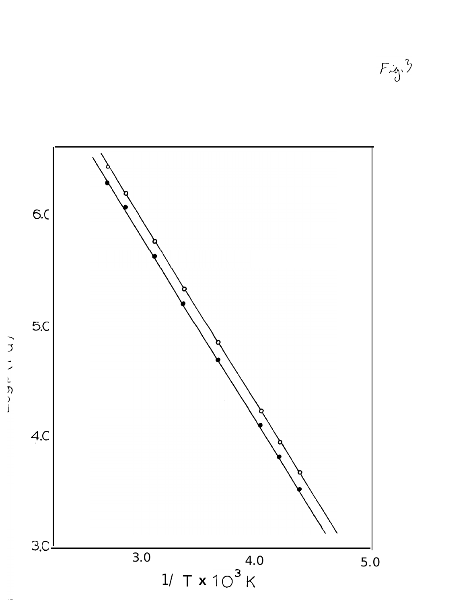$Fix_0^3$ 

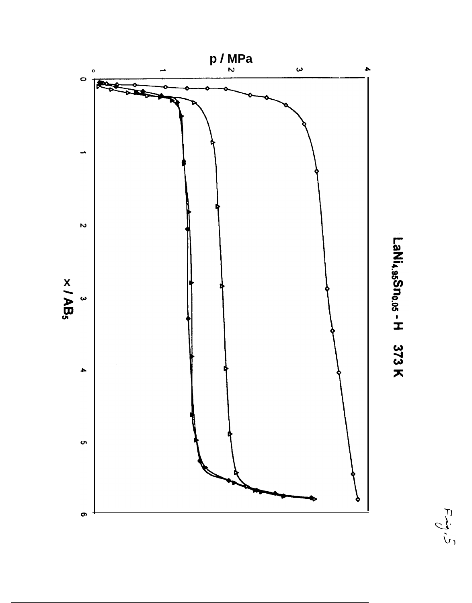

LaNi4.95Sno.05 - H 373 K

 $F_{\mathcal{O}}$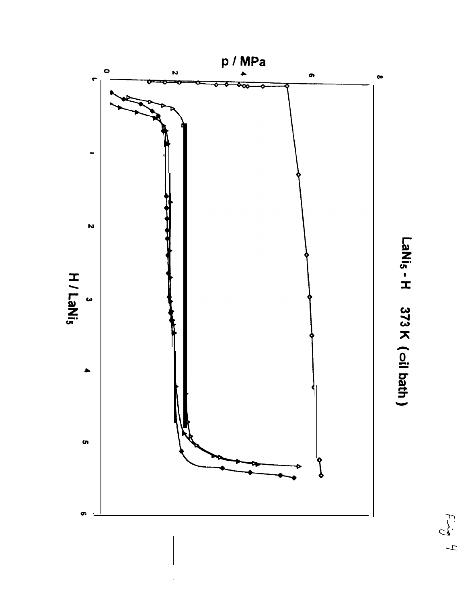

LaNis - H 373 K (oil bath)

 $\begin{array}{c}\nF\rightarrow 0 \\
F\rightarrow 0\n\end{array}$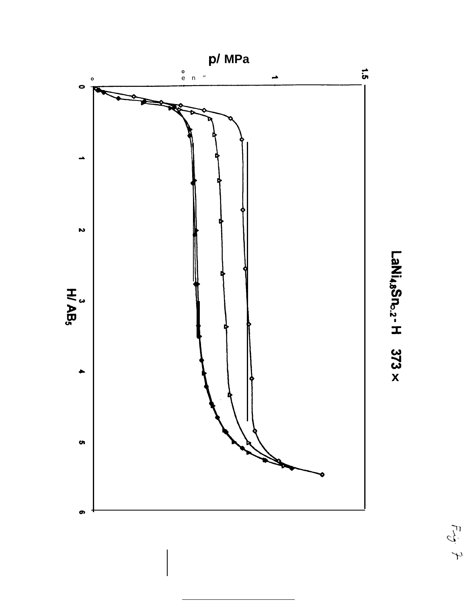



 $\begin{array}{c} \tilde{\mathcal{C}} \\ \tilde{\mathcal{C}} \end{array} \rightarrow$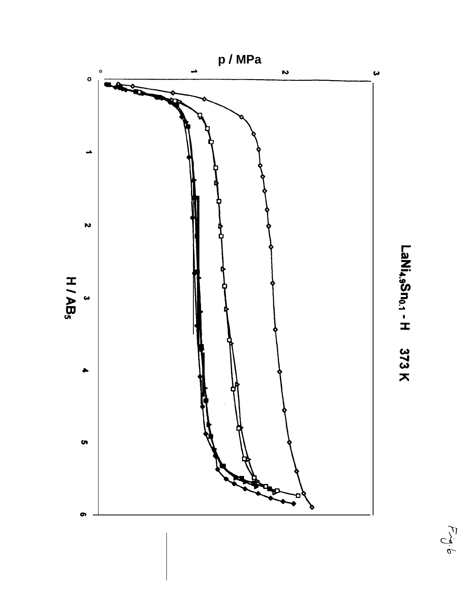

LaNi<sub>4.9</sub>Sn<sub>0.1</sub> - H 373 K

 $\frac{d}{d}$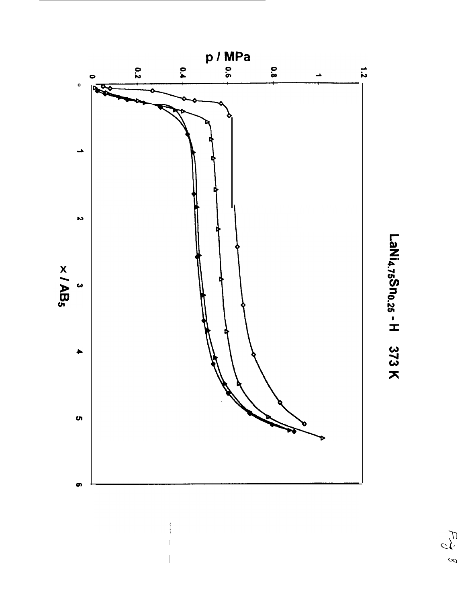

# LaNi<sub>4.75</sub>Sn<sub>0.25</sub> - H 373 K

 $\mathcal{L}$ <br> $\mathcal{L}$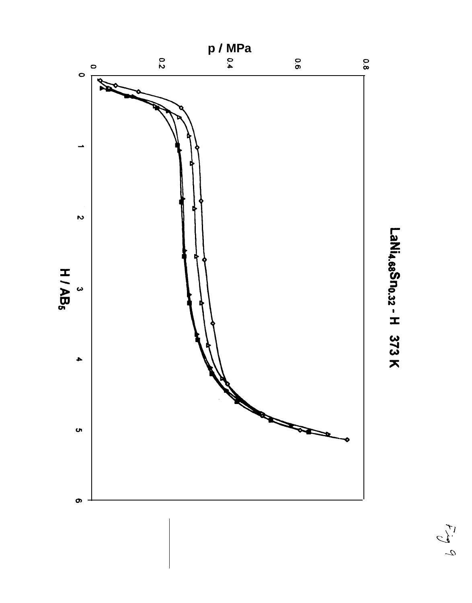

LaNi4.68Sno.32 - H 373 K

 $\frac{1}{2}$